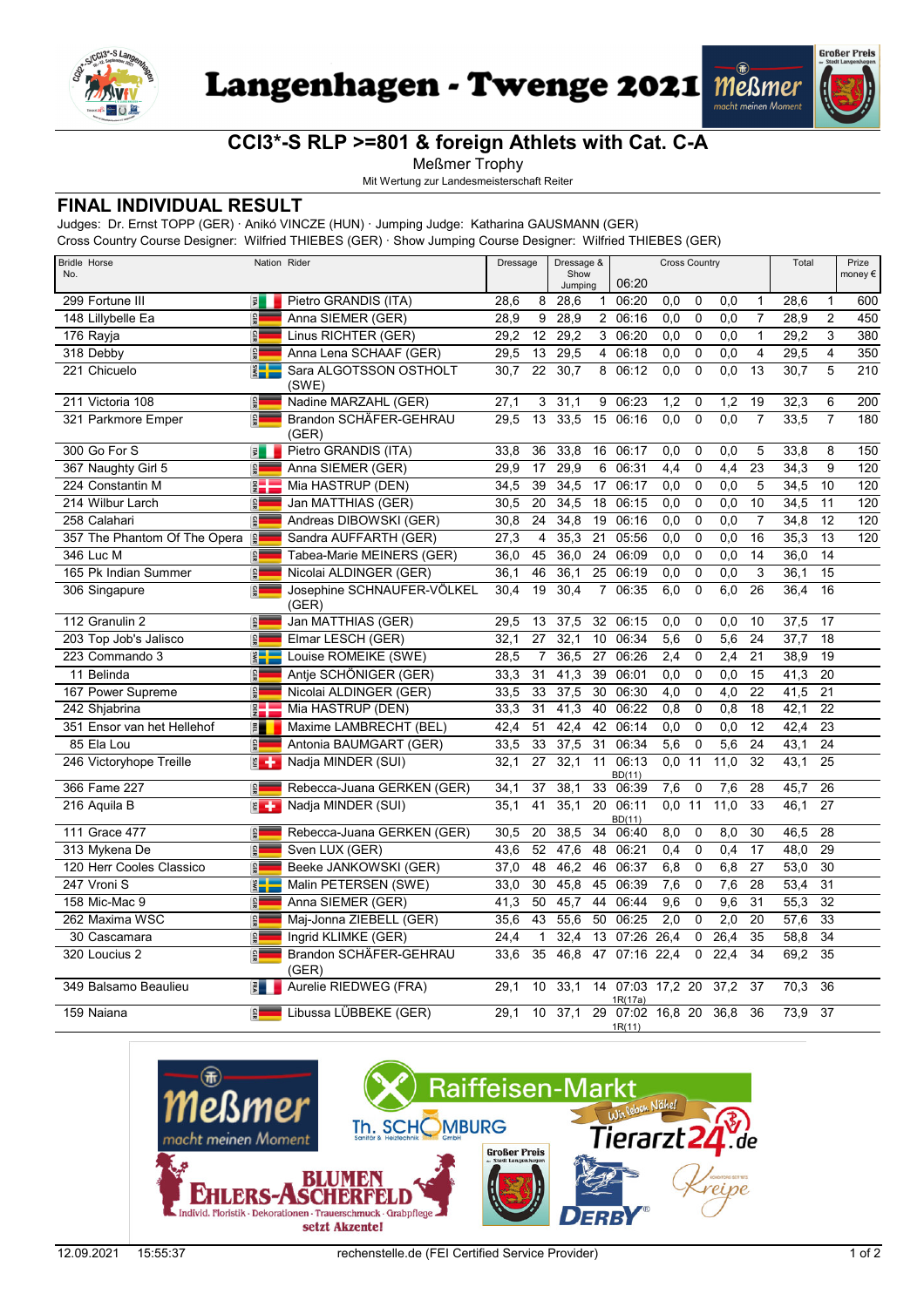

Langenhagen - Twenge 2021 Meßmer



## **CCI3\*-S RLP >=801 & foreign Athlets with Cat. C-A**

Meßmer Trophy

Mit Wertung zur Landesmeisterschaft Reiter

## **FINAL INDIVIDUAL RESULT**

Judges: Dr. Ernst TOPP (GER) · Anikó VINCZE (HUN) · Jumping Judge: Katharina GAUSMANN (GER)

Cross Country Course Designer: Wilfried THIEBES (GER) · Show Jumping Course Designer: Wilfried THIEBES (GER)

| <b>Bridle Horse</b><br>No.   | Nation Rider            |                                     | Dressage          |                 | Dressage &<br>Show<br>Jumping |                 | 06:20                       |                  | <b>Cross Country</b> |                 |                 | Total |                 | Prize<br>money $\epsilon$ |
|------------------------------|-------------------------|-------------------------------------|-------------------|-----------------|-------------------------------|-----------------|-----------------------------|------------------|----------------------|-----------------|-----------------|-------|-----------------|---------------------------|
| 299 Fortune III              | 国                       | Pietro GRANDIS (ITA)                | 28,6              | 8               | 28,6                          | $\mathbf{1}$    | 06:20                       | 0,0              | 0                    | 0,0             | $\mathbf{1}$    | 28,6  | 1               | 600                       |
| 148 Lillybelle Ea            | GER                     | Anna SIEMER (GER)                   | 28.9              | 9               | 28,9                          | $\overline{2}$  | 06:16                       | 0,0              | $\mathbf 0$          | 0.0             | $\overline{7}$  | 28,9  | $\overline{2}$  | 450                       |
| 176 Rayja                    | <b>GER</b>              | Linus RICHTER (GER)                 | 29,2              | 12              | 29,2                          |                 | 3 06:20                     | 0,0              | $\mathbf 0$          | 0,0             | $\mathbf{1}$    | 29,2  | 3               | 380                       |
| 318 Debby                    | GER                     | Anna Lena SCHAAF (GER)              | 29,5              | 13              | 29,5                          | $\overline{4}$  | 06:18                       | 0,0              | $\mathbf 0$          | 0.0             | $\overline{4}$  | 29,5  | $\overline{4}$  | 350                       |
| 221 Chicuelo                 | <b>SWE</b>              | Sara ALGOTSSON OSTHOLT<br>(SWE)     | 30.7              | 22              | 30.7                          | 8               | 06:12                       | 0,0              | $\Omega$             | 0.0             | 13              | 30.7  | 5               | 210                       |
| 211 Victoria 108             | GER                     | Nadine MARZAHL (GER)                | 27,1              | 3               | 31,1                          | 9               | 06:23                       | 1,2              | 0                    | 1,2             | 19              | 32,3  | 6               | 200                       |
| 321 Parkmore Emper           | $\frac{1}{2}$           | Brandon SCHÄFER-GEHRAU<br>(GER)     | 29.5              | $\overline{13}$ | 33,5                          | 15              | 06:16                       | 0.0              | $\overline{0}$       | 0.0             | $\overline{7}$  | 33.5  | $\overline{7}$  | 180                       |
| 300 Go For S                 | $\overline{\mathbf{s}}$ | Pietro GRANDIS (ITA)                | 33,8              | 36              | 33,8                          | 16              | 06:17                       | 0,0              | 0                    | 0,0             | 5               | 33,8  | 8               | 150                       |
| 367 Naughty Girl 5           | <b>GER</b>              | Anna SIEMER (GER)                   | 29,9              | 17              | 29,9                          | 6               | 06:31                       | 4,4              | $\mathbf 0$          | 4,4             | 23              | 34,3  | 9               | $\overline{120}$          |
| 224 Constantin M             | DEN<br>L                | Mia HASTRUP (DEN)                   | 34,5              | 39              | 34,5                          | 17              | 06:17                       | 0,0              | $\mathbf 0$          | 0,0             | 5               | 34,5  | 10              | 120                       |
| 214 Wilbur Larch             | GER                     | Jan MATTHIAS (GER)                  | 30,5              | 20              | 34,5                          | 18              | 06:15                       | 0,0              | $\mathbf 0$          | 0.0             | 10              | 34,5  | 11              | 120                       |
| 258 Calahari                 | GER                     | Andreas DIBOWSKI (GER)              | 30,8              | 24              | 34,8                          | 19              | 06:16                       | 0,0              | $\mathbf 0$          | 0,0             | $\overline{7}$  | 34,8  | 12              | 120                       |
| 357 The Phantom Of The Opera | GER                     | Sandra AUFFARTH (GER)               | $\overline{27,3}$ | 4               | 35,3                          | $\overline{21}$ | 05:56                       | 0,0              | $\mathbf 0$          | 0,0             | 16              | 35,3  | $\overline{13}$ | 120                       |
| 346 Luc M                    | <b>GER</b>              | Tabea-Marie MEINERS (GER)           | 36,0              | 45              | 36,0                          | 24              | 06:09                       | 0,0              | $\Omega$             | 0,0             | 14              | 36,0  | 14              |                           |
| 165 Pk Indian Summer         | GER                     | Nicolai ALDINGER (GER)              | 36,1              | 46              | 36,1                          | 25              | 06:19                       | 0,0              | $\mathbf 0$          | 0,0             | $\overline{3}$  | 36,1  | 15              |                           |
| 306 Singapure                | GER                     | Josephine SCHNAUFER-VÖLKEL<br>(GER) | 30,4              | 19              | 30,4                          | $\overline{7}$  | 06:35                       | 6,0              | $\mathbf 0$          | 6,0             | 26              | 36,4  | 16              |                           |
| 112 Granulin 2               | <b>GER</b>              | Jan MATTHIAS (GER)                  | 29,5              | 13              | 37,5                          | 32              | 06:15                       | 0,0              | $\mathbf 0$          | 0,0             | 10              | 37,5  | 17              |                           |
| 203 Top Job's Jalisco        | <b>GER</b>              | Elmar LESCH (GER)                   | 32.1              | 27              | 32,1                          | 10              | 06:34                       | 5,6              | $\mathbf 0$          | 5,6             | 24              | 37,7  | 18              |                           |
| 223 Commando 3               | $rac{1}{2}$             | Louise ROMEIKE (SWE)                | 28,5              | $\overline{7}$  | 36,5                          | 27              | 06:26                       | 2,4              | 0                    | 2,4             | 21              | 38.9  | 19              |                           |
| 11 Belinda                   | <b>GER</b>              | Antie SCHÖNIGER (GER)               | 33,3              | 31              | 41,3                          | 39              | 06:01                       | 0,0              | $\mathbf 0$          | 0,0             | $\overline{15}$ | 41,3  | $\overline{20}$ |                           |
| 167 Power Supreme            | <b>GER</b>              | Nicolai ALDINGER (GER)              | 33,5              | 33              | 37,5                          | 30              | 06:30                       | 4,0              | $\mathbf 0$          | 4,0             | 22              | 41,5  | 21              |                           |
| 242 Shjabrina                | $rac{1}{2}$             | Mia HASTRUP (DEN)                   | 33,3              | 31              | 41,3                          | 40              | 06:22                       | 0,8              | $\mathbf 0$          | 0,8             | 18              | 42,1  | 22              |                           |
| 351 Ensor van het Hellehof   | E                       | Maxime LAMBRECHT (BEL)              | 42,4              | 51              | 42,4                          | 42              | 06:14                       | 0,0              | $\mathbf 0$          | 0,0             | 12              | 42,4  | 23              |                           |
| 85 Ela Lou                   | GER                     | Antonia BAUMGART (GER)              | 33,5              | 33              | 37,5                          | $\overline{31}$ | 06:34                       | $\overline{5,6}$ | $\overline{0}$       | $\frac{1}{5,6}$ | 24              | 43,1  | 24              |                           |
| 246 Victoryhope Treille      | $\epsilon$              | Nadja MINDER (SUI)                  | 32,1              | 27              | 32,1                          | 11              | 06:13<br>BD(11)             | 0,0              | 11                   | 11,0            | 32              | 43,1  | 25              |                           |
| 366 Fame 227                 | GER                     | Rebecca-Juana GERKEN (GER)          | 34,1              | 37              | 38.1                          | 33              | 06:39                       | 7,6              | 0                    | 7,6             | 28              | 45.7  | 26              |                           |
| 216 Aquila B                 | $\epsilon$              | Nadja MINDER (SUI)                  | 35.1              | 41              | 35,1                          | 20              | 06:11<br>BD(11)             | 0.0              | 11                   | 11.0            | 33              | 46,1  | 27              |                           |
| 111 Grace 477                | <b>GER</b>              | Rebecca-Juana GERKEN (GER)          | 30,5              | 20              | 38.5                          | 34              | 06:40                       | 8,0              | $\mathbf 0$          | 8,0             | 30              | 46.5  | 28              |                           |
| 313 Mykena De                | <b>GER</b>              | Sven LUX (GER)                      | 43,6              | 52              | 47,6                          | 48              | 06:21                       | 0,4              | $\mathbf 0$          | 0.4             | 17              | 48,0  | 29              |                           |
| 120 Herr Cooles Classico     | GER                     | Beeke JANKOWSKI (GER)               | 37,0              | 48              | 46,2                          | 46              | 06:37                       | 6,8              | $\mathbf 0$          | 6,8             | 27              | 53,0  | 30              |                           |
| 247 Vroni S                  | $rac{1}{\sqrt{1}}$      | Malin PETERSEN (SWE)                | 33,0              | 30              | 45,8                          | 45              | 06:39                       | 7,6              | $\mathbf 0$          | 7,6             | 28              | 53,4  | $\overline{31}$ |                           |
| 158 Mic-Mac 9                | GER                     | Anna SIEMER (GER)                   | 41,3              | 50              | 45,7                          | 44              | 06:44                       | 9,6              | $\mathbf 0$          | 9.6             | 31              | 55,3  | 32              |                           |
| 262 Maxima WSC               | <b>GER</b>              | Maj-Jonna ZIEBELL (GER)             | 35,6              | 43              | 55.6                          | 50              | 06:25                       | 2,0              | $\mathbf 0$          | 2,0             | 20              | 57,6  | 33              |                           |
| 30 Cascamara                 | GER                     | Ingrid KLIMKE (GER)                 | 24,4              | $\mathbf{1}$    | 32,4                          | 13              | 07:26                       | 26.4             | $\mathbf 0$          | 26.4            | 35              | 58,8  | 34              |                           |
| 320 Loucius 2                | <b>GER</b>              | Brandon SCHÄFER-GEHRAU<br>(GER)     | 33,6              | $\overline{35}$ | 46,8                          | $\overline{47}$ | 07:16 22,4                  |                  | $\mathbf 0$          | 22,4            | 34              | 69,2  | 35              |                           |
| 349 Balsamo Beaulieu         | $\frac{1}{5}$           | Aurelie RIEDWEG (FRA)               | 29,1              | 10              | 33,1                          |                 | 14 07:03 17,2 20<br>1R(17a) |                  |                      | 37,2            | 37              | 70,3  | 36              |                           |
| 159 Naiana                   | $\frac{1}{2}$           | Libussa LÜBBEKE (GER)               | 29.1              | 10 <sup>°</sup> | 37,1                          |                 | 29 07:02 16.8 20<br>1R(11)  |                  |                      | 36.8            | 36              | 73,9  | 37              |                           |